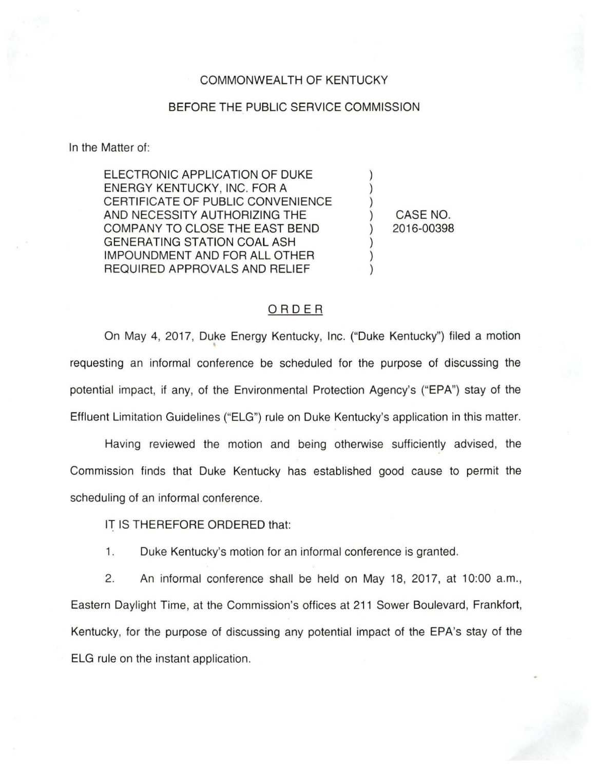## COMMONWEALTH OF KENTUCKY

## BEFORE THE PUBLIC SERVICE COMMISSION

In the Matter of:

ELECTRONIC APPLICATION OF DUKE ENERGY KENTUCKY, INC. FOR A CERTIFICATE OF PUBLIC CONVENIENCE AND NECESSITY AUTHORIZING THE COMPANY TO CLOSE THE EAST BEND GENERATING STATION COAL ASH IMPOUNDMENT AND FOR ALL OTHER REQUIRED APPROVALS AND RELIEF

) CASE NO. ) 2016-00398

) ) )

) ) )

## ORDER

On May 4, 2017, Duke Energy Kentucky, Inc. ("Duke Kentucky") filed a motion requesting an informal conference be scheduled for the purpose of discussing the potential impact, if any, of the Environmental Protection Agency's ("EPA") stay of the Effluent Limitation Guidelines ("ELG") rule on Duke Kentucky's application in this matter.

Having reviewed the motion and being otherwise sufficiently advised, the Commission finds that Duke Kentucky has established good cause to permit the scheduling of an informal conference.

IT IS THEREFORE ORDERED that:

1. Duke Kentucky's motion for an informal conference is granted.

2. An informal conference shall be held on May 18, 2017, at 10:00 a.m., Eastern Daylight Time, at the Commission's offices at 211 Sower Boulevard, Frankfort, Kentucky, for the purpose of discussing any potential impact of the EPA's stay of the ELG rule on the instant application.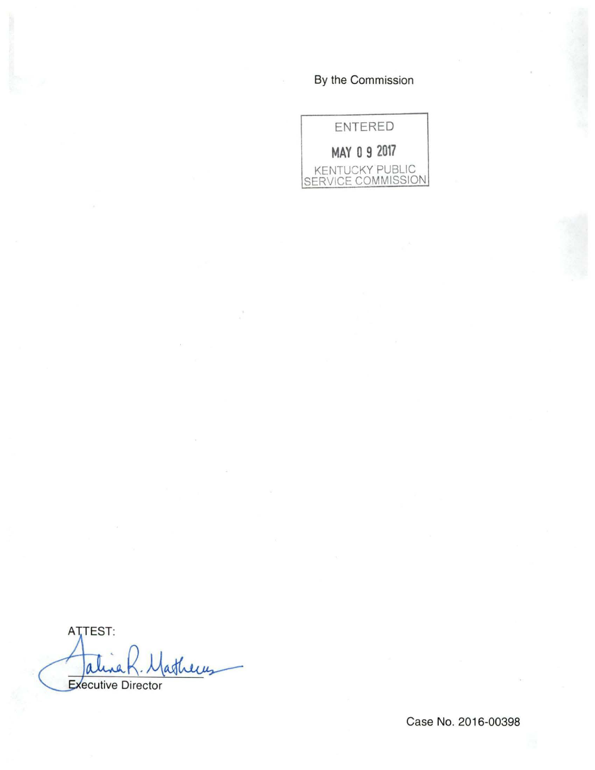## By the Commission

ENTERED **MAY 0 9 2017**  KENTUCKY PUBLIC SERVICE COMMISSION

ATTEST: atheres ale Executive Director

Case No. 2016-00398